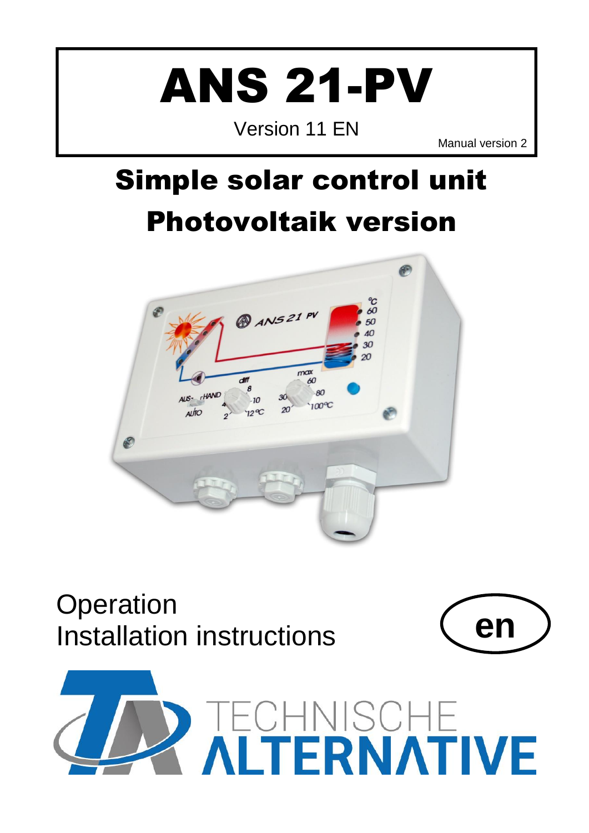# ANS 21-PV

Version 11 EN

Manual version 2

# <span id="page-0-0"></span>Simple solar control unit Photovoltaik version

<span id="page-0-1"></span>

# **Operation** Installation instructions **en**



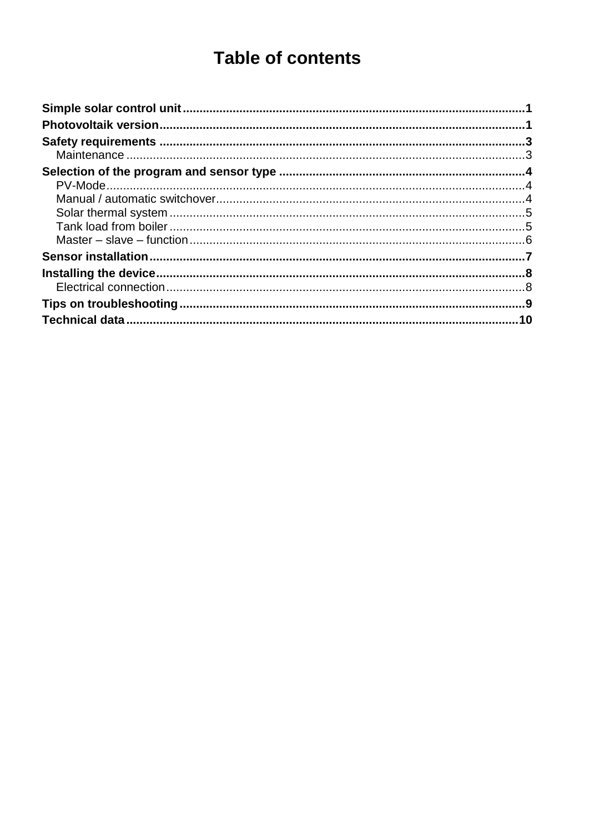# **Table of contents**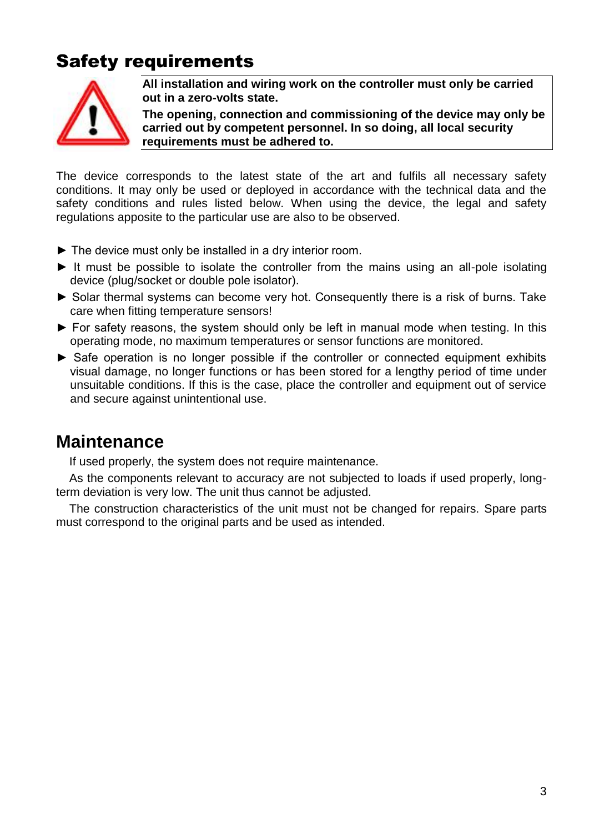## <span id="page-2-0"></span>Safety requirements



**All installation and wiring work on the controller must only be carried out in a zero-volts state.**

**The opening, connection and commissioning of the device may only be carried out by competent personnel. In so doing, all local security requirements must be adhered to.**

The device corresponds to the latest state of the art and fulfils all necessary safety conditions. It may only be used or deployed in accordance with the technical data and the safety conditions and rules listed below. When using the device, the legal and safety regulations apposite to the particular use are also to be observed.

- ► The device must only be installed in a dry interior room.
- ► It must be possible to isolate the controller from the mains using an all-pole isolating device (plug/socket or double pole isolator).
- ► Solar thermal systems can become very hot. Consequently there is a risk of burns. Take care when fitting temperature sensors!
- ► For safety reasons, the system should only be left in manual mode when testing. In this operating mode, no maximum temperatures or sensor functions are monitored.
- ► Safe operation is no longer possible if the controller or connected equipment exhibits visual damage, no longer functions or has been stored for a lengthy period of time under unsuitable conditions. If this is the case, place the controller and equipment out of service and secure against unintentional use.

#### <span id="page-2-1"></span>**Maintenance**

If used properly, the system does not require maintenance.

As the components relevant to accuracy are not subjected to loads if used properly, longterm deviation is very low. The unit thus cannot be adjusted.

The construction characteristics of the unit must not be changed for repairs. Spare parts must correspond to the original parts and be used as intended.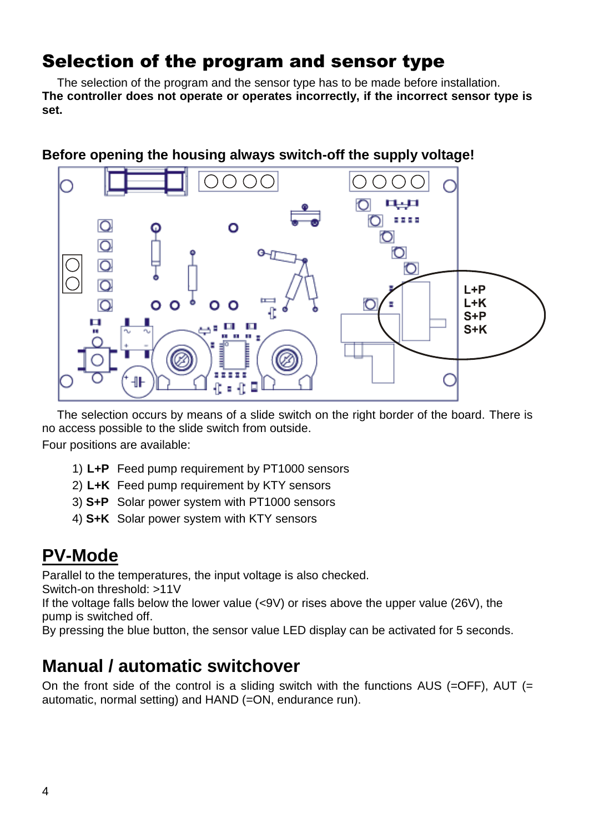#### <span id="page-3-0"></span>Selection of the program and sensor type

The selection of the program and the sensor type has to be made before installation. **The controller does not operate or operates incorrectly, if the incorrect sensor type is set.**



#### **Before opening the housing always switch-off the supply voltage!**

The selection occurs by means of a slide switch on the right border of the board. There is no access possible to the slide switch from outside. Four positions are available:

- 1) **L+P** Feed pump requirement by PT1000 sensors
- 2) **L+K** Feed pump requirement by KTY sensors
- 3) **S+P** Solar power system with PT1000 sensors
- 4) **S+K** Solar power system with KTY sensors

## <span id="page-3-1"></span>**PV-Mode**

Parallel to the temperatures, the input voltage is also checked.

Switch-on threshold: >11V

If the voltage falls below the lower value (<9V) or rises above the upper value (26V), the pump is switched off.

By pressing the blue button, the sensor value LED display can be activated for 5 seconds.

## <span id="page-3-2"></span>**Manual / automatic switchover**

On the front side of the control is a sliding switch with the functions AUS (=OFF), AUT (= automatic, normal setting) and HAND (=ON, endurance run).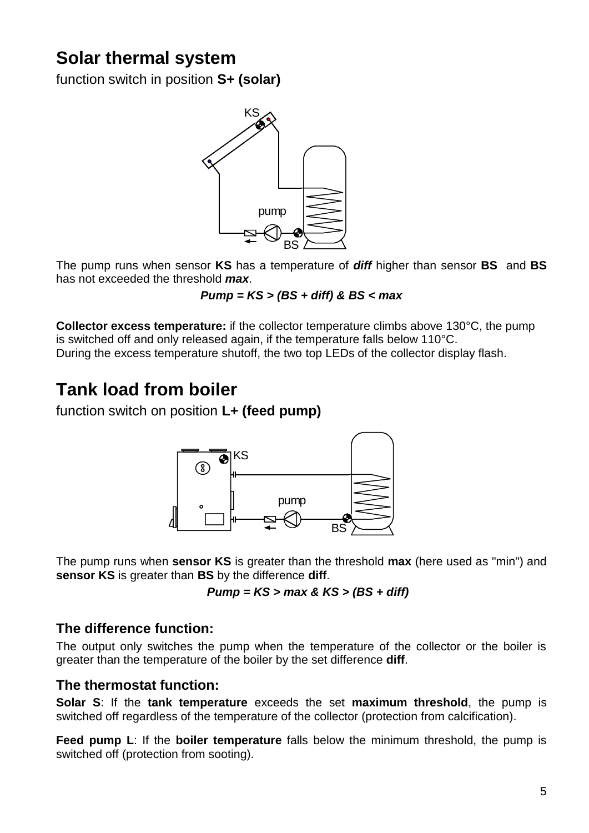# <span id="page-4-0"></span>**Solar thermal system**

function switch in position **S+ (solar)**



The pump runs when sensor **KS** has a temperature of *diff* higher than sensor **BS** and **BS** has not exceeded the threshold *max*.

*Pump = KS > (BS + diff) & BS < max*

**Collector excess temperature:** if the collector temperature climbs above 130°C, the pump is switched off and only released again, if the temperature falls below 110°C. During the excess temperature shutoff, the two top LEDs of the collector display flash.

## <span id="page-4-1"></span>**Tank load from boiler**

function switch on position **L+ (feed pump)**



The pump runs when **sensor KS** is greater than the threshold **max** (here used as "min") and **sensor KS** is greater than **BS** by the difference **diff**.

*Pump = KS > max & KS > (BS + diff)*

#### **The difference function:**

The output only switches the pump when the temperature of the collector or the boiler is greater than the temperature of the boiler by the set difference **diff**.

#### **The thermostat function:**

**Solar S**: If the **tank temperature** exceeds the set **maximum threshold**, the pump is switched off regardless of the temperature of the collector (protection from calcification).

**Feed pump L**: If the **boiler temperature** falls below the minimum threshold, the pump is switched off (protection from sooting).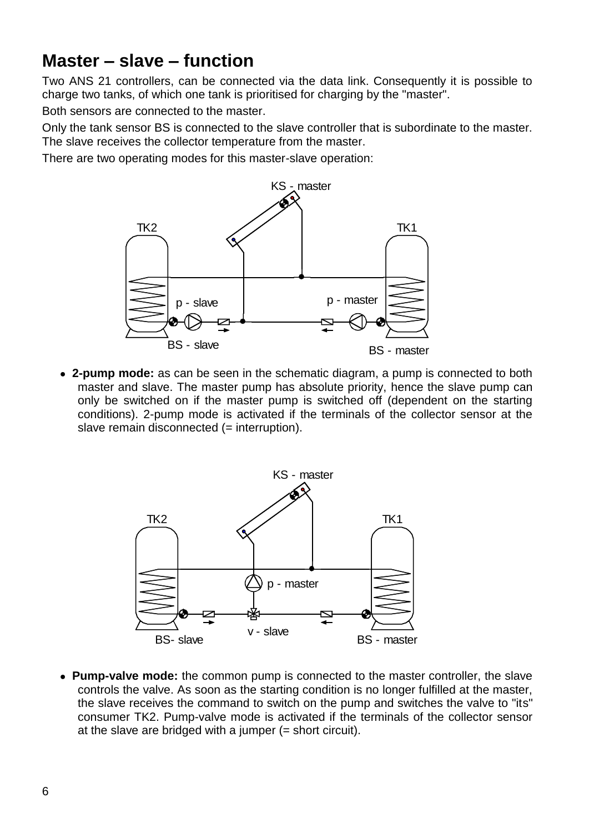#### <span id="page-5-0"></span>**Master – slave – function**

Two ANS 21 controllers, can be connected via the data link. Consequently it is possible to charge two tanks, of which one tank is prioritised for charging by the "master".

Both sensors are connected to the master.

Only the tank sensor BS is connected to the slave controller that is subordinate to the master. The slave receives the collector temperature from the master.

There are two operating modes for this master-slave operation:



**2-pump mode:** as can be seen in the schematic diagram, a pump is connected to both master and slave. The master pump has absolute priority, hence the slave pump can only be switched on if the master pump is switched off (dependent on the starting conditions). 2-pump mode is activated if the terminals of the collector sensor at the slave remain disconnected (= interruption).



**Pump-valve mode:** the common pump is connected to the master controller, the slave controls the valve. As soon as the starting condition is no longer fulfilled at the master, the slave receives the command to switch on the pump and switches the valve to "its" consumer TK2. Pump-valve mode is activated if the terminals of the collector sensor at the slave are bridged with a jumper  $(=$  short circuit).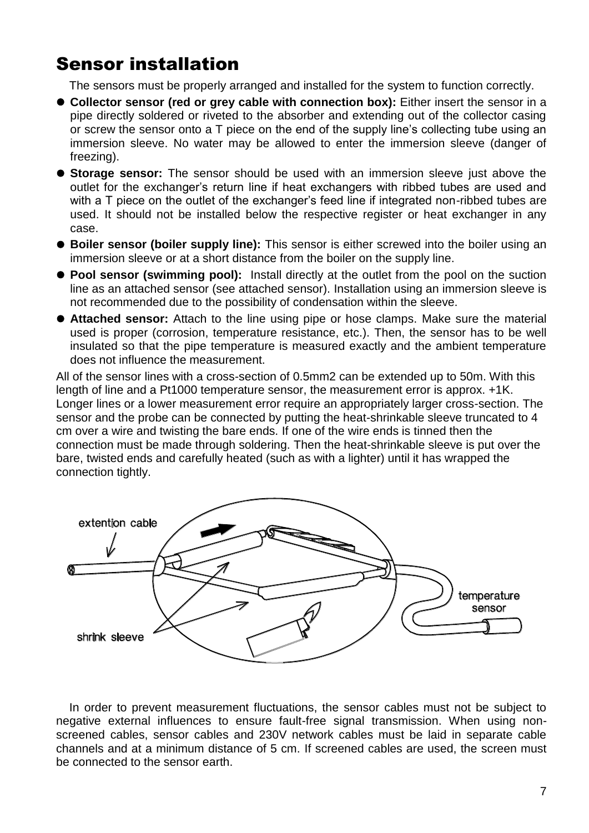## <span id="page-6-0"></span>Sensor installation

The sensors must be properly arranged and installed for the system to function correctly.

- **Collector sensor (red or grey cable with connection box):** Either insert the sensor in a pipe directly soldered or riveted to the absorber and extending out of the collector casing or screw the sensor onto a T piece on the end of the supply line's collecting tube using an immersion sleeve. No water may be allowed to enter the immersion sleeve (danger of freezing).
- **Storage sensor:** The sensor should be used with an immersion sleeve just above the outlet for the exchanger's return line if heat exchangers with ribbed tubes are used and with a T piece on the outlet of the exchanger's feed line if integrated non-ribbed tubes are used. It should not be installed below the respective register or heat exchanger in any case.
- **Boiler sensor (boiler supply line):** This sensor is either screwed into the boiler using an immersion sleeve or at a short distance from the boiler on the supply line.
- **Pool sensor (swimming pool):** Install directly at the outlet from the pool on the suction line as an attached sensor (see attached sensor). Installation using an immersion sleeve is not recommended due to the possibility of condensation within the sleeve.
- **Attached sensor:** Attach to the line using pipe or hose clamps. Make sure the material used is proper (corrosion, temperature resistance, etc.). Then, the sensor has to be well insulated so that the pipe temperature is measured exactly and the ambient temperature does not influence the measurement.

All of the sensor lines with a cross-section of 0.5mm2 can be extended up to 50m. With this length of line and a Pt1000 temperature sensor, the measurement error is approx. +1K. Longer lines or a lower measurement error require an appropriately larger cross-section. The sensor and the probe can be connected by putting the heat-shrinkable sleeve truncated to 4 cm over a wire and twisting the bare ends. If one of the wire ends is tinned then the connection must be made through soldering. Then the heat-shrinkable sleeve is put over the bare, twisted ends and carefully heated (such as with a lighter) until it has wrapped the connection tightly.



In order to prevent measurement fluctuations, the sensor cables must not be subject to negative external influences to ensure fault-free signal transmission. When using nonscreened cables, sensor cables and 230V network cables must be laid in separate cable channels and at a minimum distance of 5 cm. If screened cables are used, the screen must be connected to the sensor earth.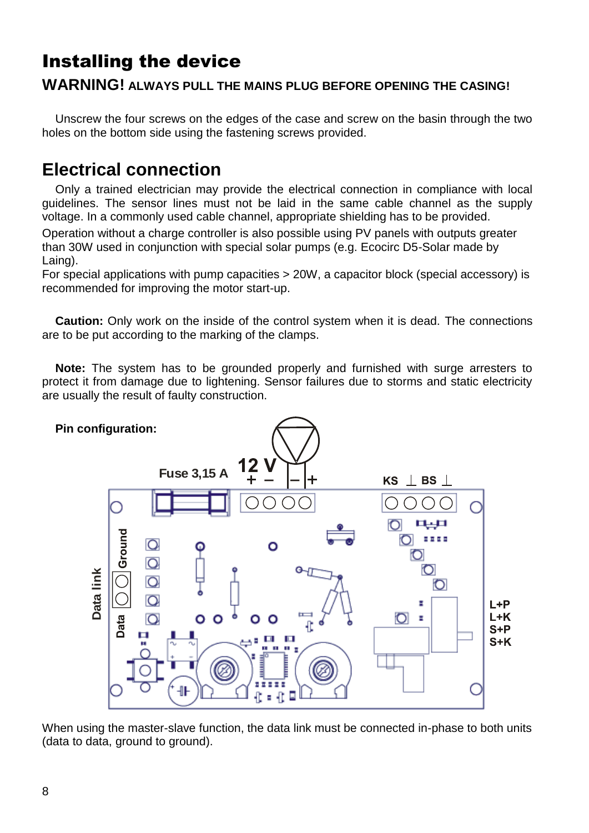# <span id="page-7-0"></span>Installing the device

#### **WARNING! ALWAYS PULL THE MAINS PLUG BEFORE OPENING THE CASING!**

Unscrew the four screws on the edges of the case and screw on the basin through the two holes on the bottom side using the fastening screws provided.

#### <span id="page-7-1"></span>**Electrical connection**

Only a trained electrician may provide the electrical connection in compliance with local guidelines. The sensor lines must not be laid in the same cable channel as the supply voltage. In a commonly used cable channel, appropriate shielding has to be provided.

Operation without a charge controller is also possible using PV panels with outputs greater than 30W used in conjunction with special solar pumps (e.g. Ecocirc D5-Solar made by Laing).

For special applications with pump capacities > 20W, a capacitor block (special accessory) is recommended for improving the motor start-up.

**Caution:** Only work on the inside of the control system when it is dead. The connections are to be put according to the marking of the clamps.

**Note:** The system has to be grounded properly and furnished with surge arresters to protect it from damage due to lightening. Sensor failures due to storms and static electricity are usually the result of faulty construction.



When using the master-slave function, the data link must be connected in-phase to both units (data to data, ground to ground).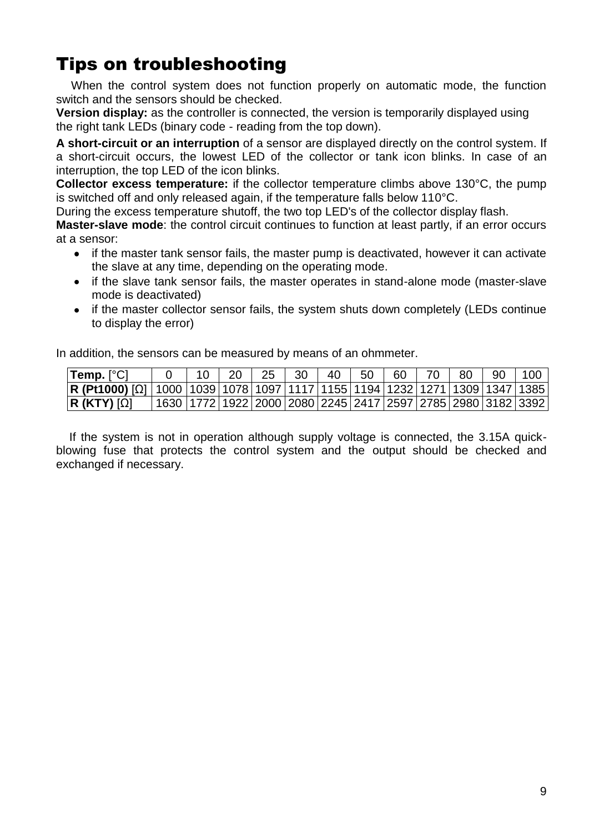# <span id="page-8-0"></span>Tips on troubleshooting

When the control system does not function properly on automatic mode, the function switch and the sensors should be checked.

**Version display:** as the controller is connected, the version is temporarily displayed using the right tank LEDs (binary code - reading from the top down).

**A short-circuit or an interruption** of a sensor are displayed directly on the control system. If a short-circuit occurs, the lowest LED of the collector or tank icon blinks. In case of an interruption, the top LED of the icon blinks.

**Collector excess temperature:** if the collector temperature climbs above 130°C, the pump is switched off and only released again, if the temperature falls below 110°C.

During the excess temperature shutoff, the two top LED's of the collector display flash.

**Master-slave mode**: the control circuit continues to function at least partly, if an error occurs at a sensor:

- if the master tank sensor fails, the master pump is deactivated, however it can activate the slave at any time, depending on the operating mode.
- if the slave tank sensor fails, the master operates in stand-alone mode (master-slave  $\bullet$ mode is deactivated)
- if the master collector sensor fails, the system shuts down completely (LEDs continue to display the error)

In addition, the sensors can be measured by means of an ohmmeter.

| Temp. [°C]                                                                                             |  | 25. | - 30 | 40 | 50 | 60 | 80 | 90 | 100                                                                               |
|--------------------------------------------------------------------------------------------------------|--|-----|------|----|----|----|----|----|-----------------------------------------------------------------------------------|
| <b>R (Pt1000)</b> [Ω]   1000  1039  1078  1097   1117   1155   1194   1232   1271   1309   1347   1385 |  |     |      |    |    |    |    |    |                                                                                   |
| $ R$ (KTY) $[\Omega]$                                                                                  |  |     |      |    |    |    |    |    | 1630   1772   1922   2000   2080   2245   2417   2597   2785   2980   3182   3392 |

If the system is not in operation although supply voltage is connected, the 3.15A quickblowing fuse that protects the control system and the output should be checked and exchanged if necessary.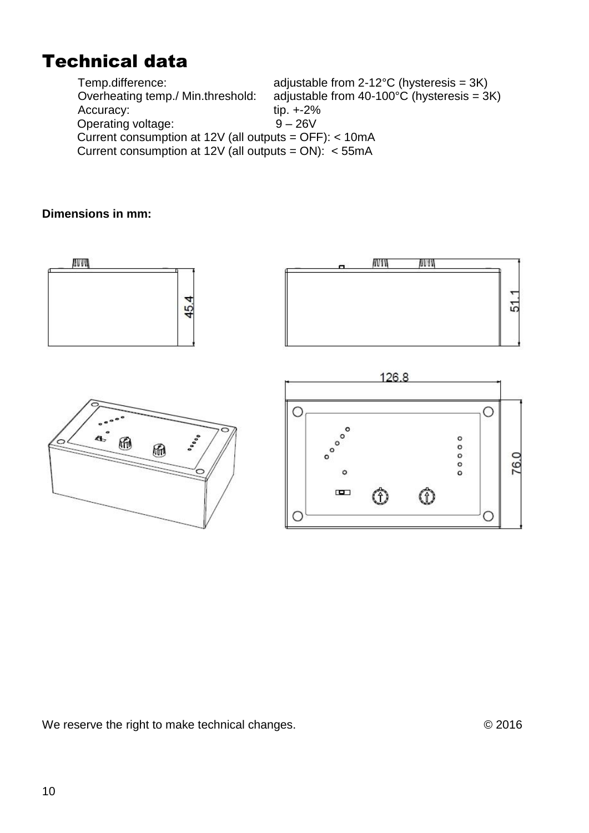## <span id="page-9-0"></span>Technical data

Temp.difference: adjustable from 2-12°C (hysteresis = 3K)<br>Overheating temp./ Min.threshold: adjustable from 40-100°C (hysteresis = 3 adjustable from 40-100 $\degree$ C (hysteresis = 3K) Accuracy: tip. +-2%<br>Operating voltage: 9 - 26V Operating voltage: Current consumption at 12V (all outputs = OFF): < 10mA Current consumption at 12V (all outputs =  $ON$ ): < 55mA

#### **Dimensions in mm:**



O

 $\blacksquare$ 

ᠿ

 $^\circledR$ 

We reserve the right to make technical changes.  $\degree$  02016

O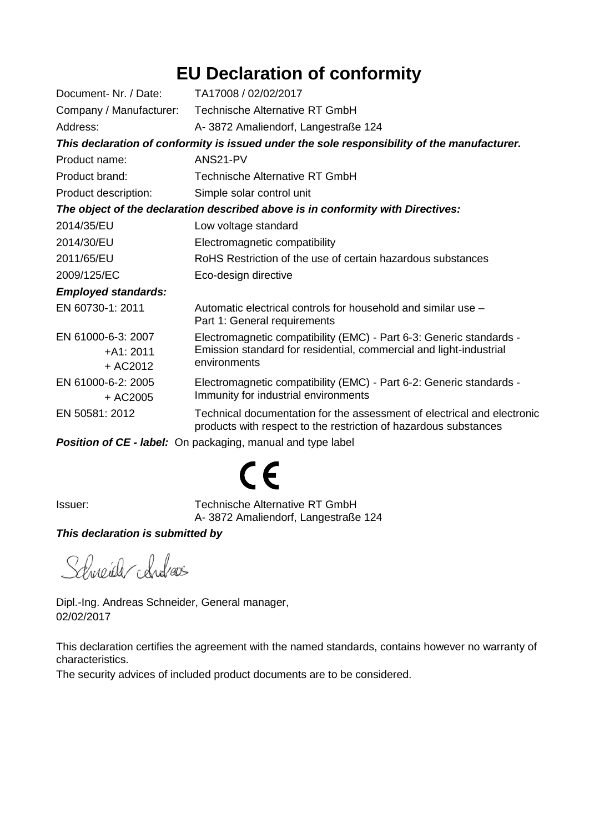## **EU Declaration of conformity**

| Document- Nr. / Date:                                                                       | TA17008 / 02/02/2017                                                                                                                        |  |  |  |  |  |
|---------------------------------------------------------------------------------------------|---------------------------------------------------------------------------------------------------------------------------------------------|--|--|--|--|--|
|                                                                                             | Company / Manufacturer: Technische Alternative RT GmbH                                                                                      |  |  |  |  |  |
| Address:                                                                                    | A-3872 Amaliendorf, Langestraße 124                                                                                                         |  |  |  |  |  |
| This declaration of conformity is issued under the sole responsibility of the manufacturer. |                                                                                                                                             |  |  |  |  |  |
| Product name:                                                                               | ANS21-PV                                                                                                                                    |  |  |  |  |  |
| Product brand:                                                                              | <b>Technische Alternative RT GmbH</b>                                                                                                       |  |  |  |  |  |
| Product description:                                                                        | Simple solar control unit                                                                                                                   |  |  |  |  |  |
| The object of the declaration described above is in conformity with Directives:             |                                                                                                                                             |  |  |  |  |  |
| 2014/35/EU                                                                                  | Low voltage standard                                                                                                                        |  |  |  |  |  |
| 2014/30/EU                                                                                  | Electromagnetic compatibility                                                                                                               |  |  |  |  |  |
| 2011/65/EU                                                                                  | RoHS Restriction of the use of certain hazardous substances                                                                                 |  |  |  |  |  |
| 2009/125/EC                                                                                 | Eco-design directive                                                                                                                        |  |  |  |  |  |
| <b>Employed standards:</b>                                                                  |                                                                                                                                             |  |  |  |  |  |
| EN 60730-1: 2011                                                                            | Automatic electrical controls for household and similar use -<br>Part 1: General requirements                                               |  |  |  |  |  |
| EN 61000-6-3: 2007                                                                          | Electromagnetic compatibility (EMC) - Part 6-3: Generic standards -                                                                         |  |  |  |  |  |
| $+A1:2011$                                                                                  | Emission standard for residential, commercial and light-industrial                                                                          |  |  |  |  |  |
| + AC2012                                                                                    | environments                                                                                                                                |  |  |  |  |  |
| EN 61000-6-2: 2005                                                                          | Electromagnetic compatibility (EMC) - Part 6-2: Generic standards -                                                                         |  |  |  |  |  |
| + AC2005                                                                                    | Immunity for industrial environments                                                                                                        |  |  |  |  |  |
| EN 50581: 2012                                                                              | Technical documentation for the assessment of electrical and electronic<br>products with respect to the restriction of hazardous substances |  |  |  |  |  |
|                                                                                             | <b>Position of CE - label:</b> On packaging, manual and type label                                                                          |  |  |  |  |  |

 $C\epsilon$ 

Issuer: Technische Alternative RT GmbH A- 3872 Amaliendorf, Langestraße 124

#### *This declaration is submitted by*

Schneider chidras

Dipl.-Ing. Andreas Schneider, General manager, 02/02/2017

This declaration certifies the agreement with the named standards, contains however no warranty of characteristics.

The security advices of included product documents are to be considered.